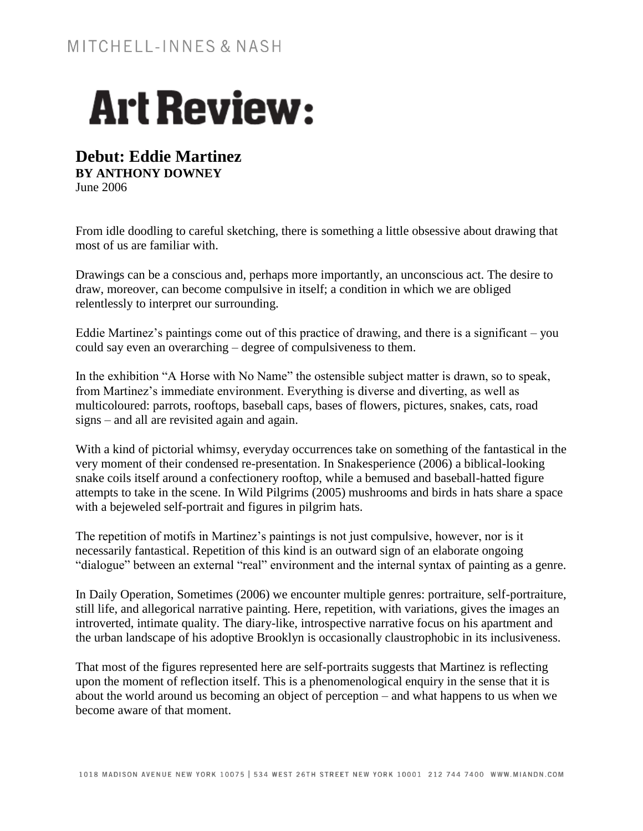## **Art Review:**

## **Debut: Eddie Martinez**

**BY ANTHONY DOWNEY** June 2006

From idle doodling to careful sketching, there is something a little obsessive about drawing that most of us are familiar with.

Drawings can be a conscious and, perhaps more importantly, an unconscious act. The desire to draw, moreover, can become compulsive in itself; a condition in which we are obliged relentlessly to interpret our surrounding.

Eddie Martinez's paintings come out of this practice of drawing, and there is a significant – you could say even an overarching – degree of compulsiveness to them.

In the exhibition "A Horse with No Name" the ostensible subject matter is drawn, so to speak, from Martinez's immediate environment. Everything is diverse and diverting, as well as multicoloured: parrots, rooftops, baseball caps, bases of flowers, pictures, snakes, cats, road signs – and all are revisited again and again.

With a kind of pictorial whimsy, everyday occurrences take on something of the fantastical in the very moment of their condensed re-presentation. In Snakesperience (2006) a biblical-looking snake coils itself around a confectionery rooftop, while a bemused and baseball-hatted figure attempts to take in the scene. In Wild Pilgrims (2005) mushrooms and birds in hats share a space with a bejeweled self-portrait and figures in pilgrim hats.

The repetition of motifs in Martinez's paintings is not just compulsive, however, nor is it necessarily fantastical. Repetition of this kind is an outward sign of an elaborate ongoing "dialogue" between an external "real" environment and the internal syntax of painting as a genre.

In Daily Operation, Sometimes (2006) we encounter multiple genres: portraiture, self-portraiture, still life, and allegorical narrative painting. Here, repetition, with variations, gives the images an introverted, intimate quality. The diary-like, introspective narrative focus on his apartment and the urban landscape of his adoptive Brooklyn is occasionally claustrophobic in its inclusiveness.

That most of the figures represented here are self-portraits suggests that Martinez is reflecting upon the moment of reflection itself. This is a phenomenological enquiry in the sense that it is about the world around us becoming an object of perception – and what happens to us when we become aware of that moment.